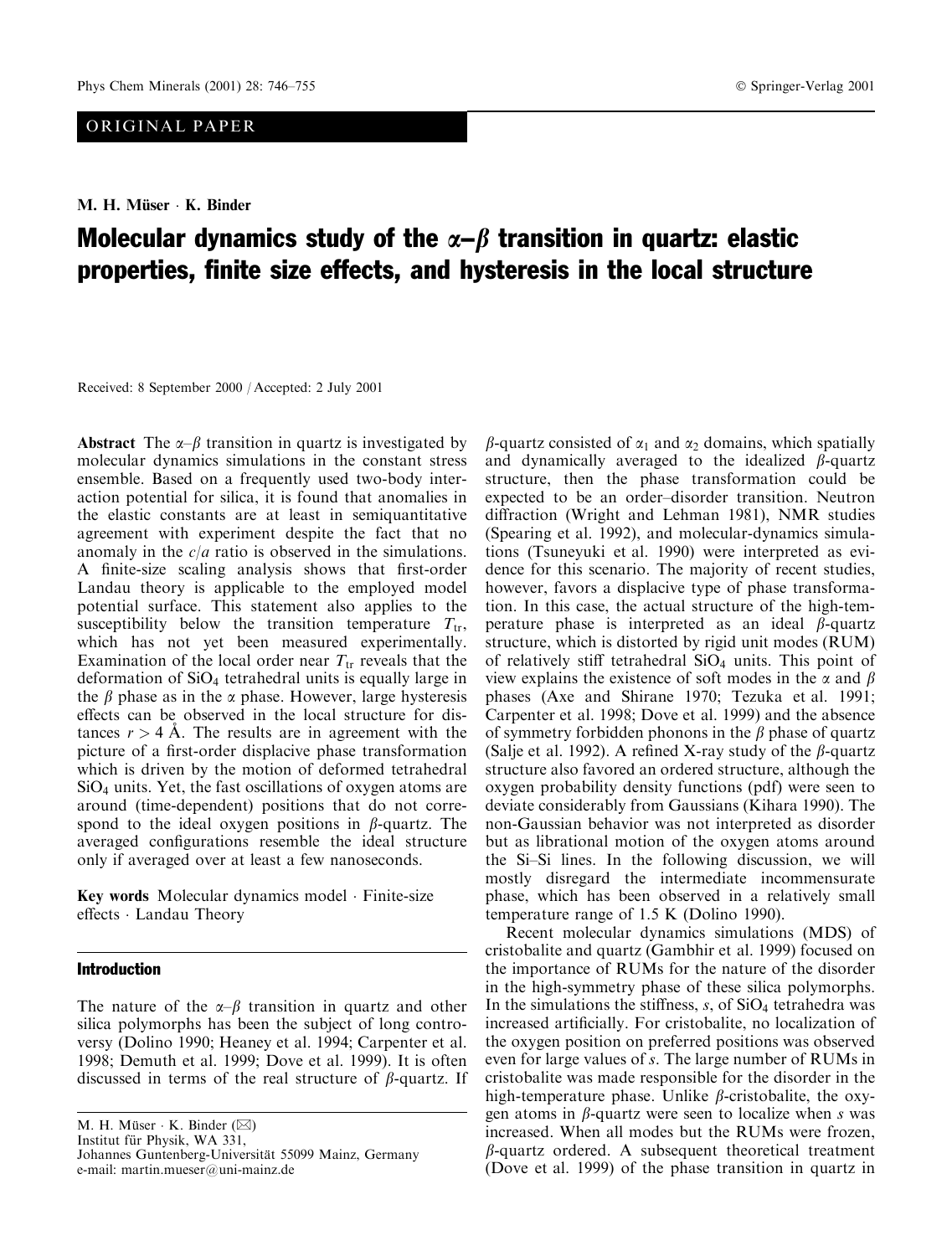# ORIGINAL PAPER

M. H. Müser · K. Binder

# Molecular dynamics study of the  $\alpha-\beta$  transition in quartz: elastic properties, finite size effects, and hysteresis in the local structure

Received: 8 September 2000 / Accepted: 2 July 2001

**Abstract** The  $\alpha$ - $\beta$  transition in quartz is investigated by molecular dynamics simulations in the constant stress ensemble. Based on a frequently used two-body interaction potential for silica, it is found that anomalies in the elastic constants are at least in semiquantitative agreement with experiment despite the fact that no anomaly in the  $c/a$  ratio is observed in the simulations. A finite-size scaling analysis shows that first-order Landau theory is applicable to the employed model potential surface. This statement also applies to the susceptibility below the transition temperature  $T_{tr}$ , which has not yet been measured experimentally. Examination of the local order near  $T_{tr}$  reveals that the deformation of  $SiO<sub>4</sub>$  tetrahedral units is equally large in the  $\beta$  phase as in the  $\alpha$  phase. However, large hysteresis effects can be observed in the local structure for distances  $r > 4$  A. The results are in agreement with the picture of a first-order displacive phase transformation which is driven by the motion of deformed tetrahedral  $SiO<sub>4</sub>$  units. Yet, the fast oscillations of oxygen atoms are around (time-dependent) positions that do not correspond to the ideal oxygen positions in  $\beta$ -quartz. The averaged configurations resemble the ideal structure only if averaged over at least a few nanoseconds.

Key words Molecular dynamics model · Finite-size effects · Landau Theory

## **Introduction**

The nature of the  $\alpha-\beta$  transition in quartz and other silica polymorphs has been the subject of long controversy (Dolino 1990; Heaney et al. 1994; Carpenter et al. 1998; Demuth et al. 1999; Dove et al. 1999). It is often discussed in terms of the real structure of  $\beta$ -quartz. If

M. H. Müser · K. Binder (⊠) Institut für Physik, WA 331,

Johannes Guntenberg-Universität 55099 Mainz, Germany e-mail: martin.mueser@uni-mainz.de

 $\beta$ -quartz consisted of  $\alpha_1$  and  $\alpha_2$  domains, which spatially and dynamically averaged to the idealized  $\beta$ -quartz structure, then the phase transformation could be expected to be an order-disorder transition. Neutron diffraction (Wright and Lehman 1981), NMR studies (Spearing et al. 1992), and molecular-dynamics simulations (Tsuneyuki et al. 1990) were interpreted as evidence for this scenario. The majority of recent studies, however, favors a displacive type of phase transformation. In this case, the actual structure of the high-temperature phase is interpreted as an ideal  $\beta$ -quartz structure, which is distorted by rigid unit modes (RUM) of relatively stiff tetrahedral  $SiO<sub>4</sub>$  units. This point of view explains the existence of soft modes in the  $\alpha$  and  $\beta$ phases (Axe and Shirane 1970; Tezuka et al. 1991; Carpenter et al. 1998; Dove et al. 1999) and the absence of symmetry forbidden phonons in the  $\beta$  phase of quartz (Salje et al. 1992). A refined X-ray study of the  $\beta$ -quartz structure also favored an ordered structure, although the oxygen probability density functions (pdf) were seen to deviate considerably from Gaussians (Kihara 1990). The non-Gaussian behavior was not interpreted as disorder but as librational motion of the oxygen atoms around the Si-Si lines. In the following discussion, we will mostly disregard the intermediate incommensurate phase, which has been observed in a relatively small temperature range of  $1.5$  K (Dolino 1990).

Recent molecular dynamics simulations (MDS) of cristobalite and quartz (Gambhir et al. 1999) focused on the importance of RUMs for the nature of the disorder in the high-symmetry phase of these silica polymorphs. In the simulations the stiffness,  $s$ , of  $SiO<sub>4</sub>$  tetrahedra was increased artificially. For cristobalite, no localization of the oxygen position on preferred positions was observed even for large values of s. The large number of RUMs in cristobalite was made responsible for the disorder in the high-temperature phase. Unlike  $\beta$ -cristobalite, the oxygen atoms in  $\beta$ -quartz were seen to localize when s was increased. When all modes but the RUMs were frozen,  $\beta$ -quartz ordered. A subsequent theoretical treatment (Dove et al. 1999) of the phase transition in quartz in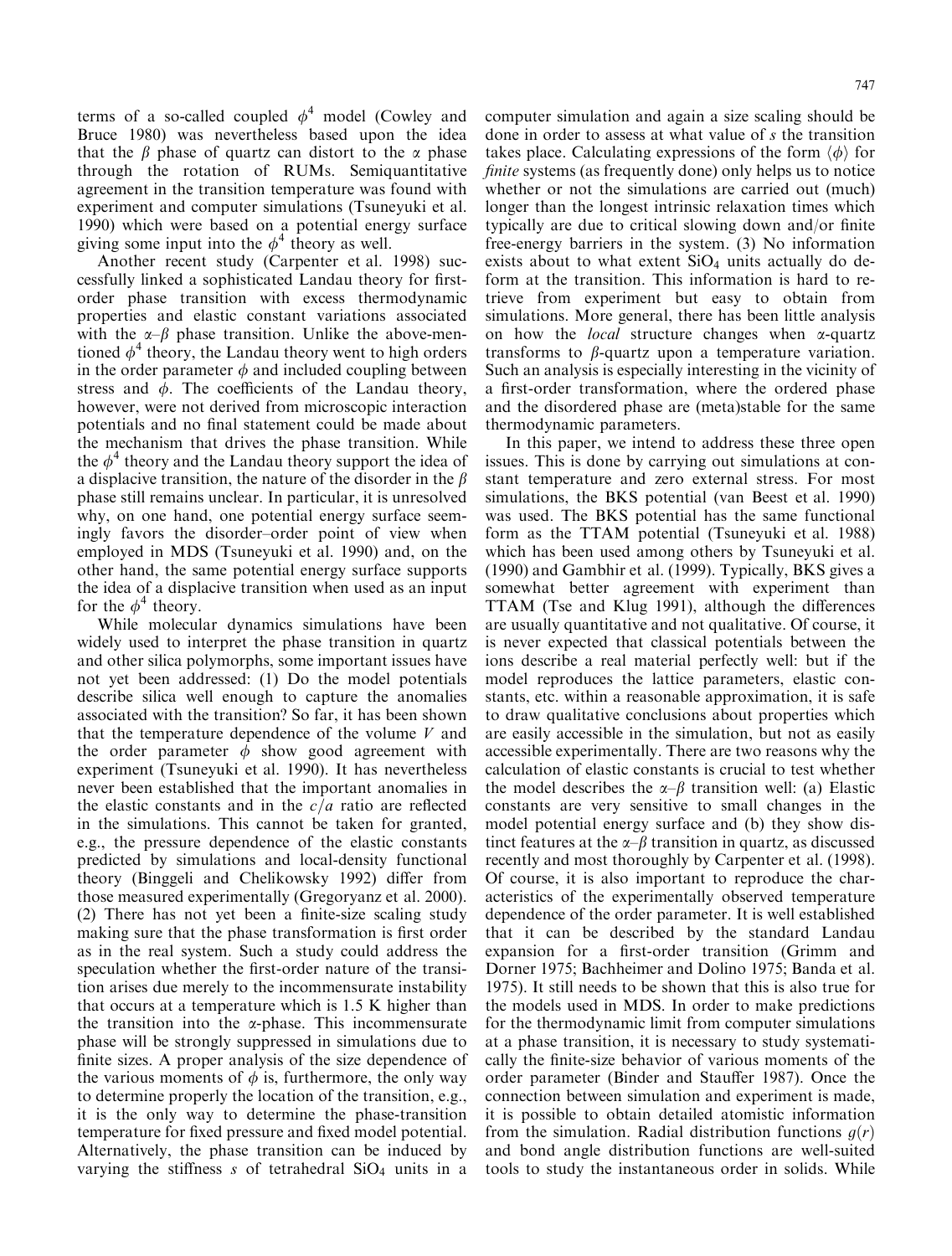terms of a so-called coupled  $\phi^4$  model (Cowley and Bruce 1980) was nevertheless based upon the idea that the  $\beta$  phase of quartz can distort to the  $\alpha$  phase through the rotation of RUMs. Semiguantitative

agreement in the transition temperature was found with experiment and computer simulations (Tsuneyuki et al. 1990) which were based on a potential energy surface giving some input into the  $\phi^4$  theory as well.

Another recent study (Carpenter et al. 1998) successfully linked a sophisticated Landau theory for firstorder phase transition with excess thermodynamic properties and elastic constant variations associated with the  $\alpha-\beta$  phase transition. Unlike the above-mentioned  $\phi^4$  theory, the Landau theory went to high orders in the order parameter  $\phi$  and included coupling between stress and  $\phi$ . The coefficients of the Landau theory, however, were not derived from microscopic interaction potentials and no final statement could be made about the mechanism that drives the phase transition. While the  $\phi^4$  theory and the Landau theory support the idea of a displacive transition, the nature of the disorder in the  $\beta$ phase still remains unclear. In particular, it is unresolved why, on one hand, one potential energy surface seemingly favors the disorder-order point of view when employed in MDS (Tsunevuki et al. 1990) and, on the other hand, the same potential energy surface supports the idea of a displacive transition when used as an input for the  $\phi^4$  theory.

While molecular dynamics simulations have been widely used to interpret the phase transition in quartz and other silica polymorphs, some important issues have not yet been addressed: (1) Do the model potentials describe silica well enough to capture the anomalies associated with the transition? So far, it has been shown that the temperature dependence of the volume  $V$  and the order parameter  $\phi$  show good agreement with experiment (Tsuneyuki et al. 1990). It has nevertheless never been established that the important anomalies in the elastic constants and in the  $c/a$  ratio are reflected in the simulations. This cannot be taken for granted, e.g., the pressure dependence of the elastic constants predicted by simulations and local-density functional theory (Binggeli and Chelikowsky 1992) differ from those measured experimentally (Gregoryanz et al. 2000). (2) There has not yet been a finite-size scaling study making sure that the phase transformation is first order as in the real system. Such a study could address the speculation whether the first-order nature of the transition arises due merely to the incommensurate instability that occurs at a temperature which is 1.5 K higher than the transition into the  $\alpha$ -phase. This incommensurate phase will be strongly suppressed in simulations due to finite sizes. A proper analysis of the size dependence of the various moments of  $\phi$  is, furthermore, the only way to determine properly the location of the transition, e.g., it is the only way to determine the phase-transition temperature for fixed pressure and fixed model potential. Alternatively, the phase transition can be induced by varying the stiffness  $s$  of tetrahedral  $SiO<sub>4</sub>$  units in a

computer simulation and again a size scaling should be done in order to assess at what value of s the transition takes place. Calculating expressions of the form  $\langle \phi \rangle$  for *finite* systems (as frequently done) only helps us to notice whether or not the simulations are carried out (much) longer than the longest intrinsic relaxation times which typically are due to critical slowing down and/or finite free-energy barriers in the system. (3) No information exists about to what extent SiO<sub>4</sub> units actually do deform at the transition. This information is hard to retrieve from experiment but easy to obtain from simulations. More general, there has been little analysis on how the *local* structure changes when  $\alpha$ -quartz transforms to  $\beta$ -quartz upon a temperature variation. Such an analysis is especially interesting in the vicinity of a first-order transformation, where the ordered phase and the disordered phase are (meta)stable for the same thermodynamic parameters.

In this paper, we intend to address these three open issues. This is done by carrying out simulations at constant temperature and zero external stress. For most simulations, the BKS potential (van Beest et al. 1990) was used. The BKS potential has the same functional form as the TTAM potential (Tsuneyuki et al. 1988) which has been used among others by Tsunevuki et al. (1990) and Gambhir et al. (1999). Typically, BKS gives a somewhat better agreement with experiment than TTAM (Tse and Klug 1991), although the differences are usually quantitative and not qualitative. Of course, it is never expected that classical potentials between the ions describe a real material perfectly well: but if the model reproduces the lattice parameters, elastic constants, etc. within a reasonable approximation, it is safe to draw qualitative conclusions about properties which are easily accessible in the simulation, but not as easily accessible experimentally. There are two reasons why the calculation of elastic constants is crucial to test whether the model describes the  $\alpha-\beta$  transition well: (a) Elastic constants are very sensitive to small changes in the model potential energy surface and (b) they show distinct features at the  $\alpha$ - $\beta$  transition in quartz, as discussed recently and most thoroughly by Carpenter et al. (1998). Of course, it is also important to reproduce the characteristics of the experimentally observed temperature dependence of the order parameter. It is well established that it can be described by the standard Landau expansion for a first-order transition (Grimm and Dorner 1975; Bachheimer and Dolino 1975; Banda et al. 1975). It still needs to be shown that this is also true for the models used in MDS. In order to make predictions for the thermodynamic limit from computer simulations at a phase transition, it is necessary to study systematically the finite-size behavior of various moments of the order parameter (Binder and Stauffer 1987). Once the connection between simulation and experiment is made, it is possible to obtain detailed atomistic information from the simulation. Radial distribution functions  $q(r)$ and bond angle distribution functions are well-suited tools to study the instantaneous order in solids. While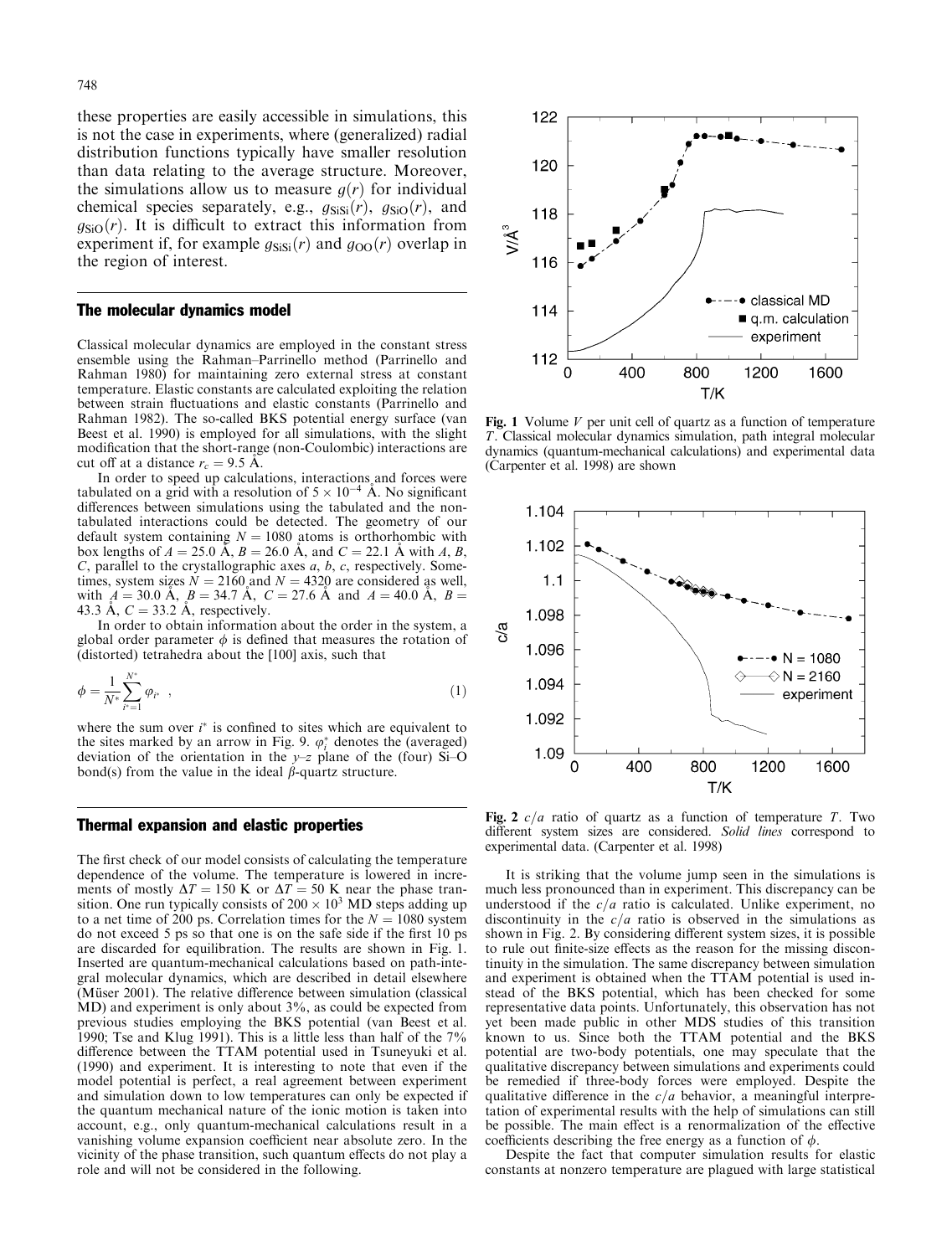these properties are easily accessible in simulations, this is not the case in experiments, where (generalized) radial distribution functions typically have smaller resolution than data relating to the average structure. Moreover, the simulations allow us to measure  $g(r)$  for individual chemical species separately, e.g.,  $g_{\text{SiSi}}(r)$ ,  $g_{\text{SiO}}(r)$ , and  $q_{SiO}(r)$ . It is difficult to extract this information from experiment if, for example  $g_{\text{SiSi}}(r)$  and  $g_{\text{OO}}(r)$  overlap in the region of interest.

#### The molecular dynamics model

Classical molecular dynamics are employed in the constant stress ensemble using the Rahman-Parrinello method (Parrinello and Rahman 1980) for maintaining zero external stress at constant temperature. Elastic constants are calculated exploiting the relation between strain fluctuations and elastic constants (Parrinello and Rahman 1982). The so-called BKS potential energy surface (van Beest et al. 1990) is employed for all simulations, with the slight modification that the short-range (non-Coulombic) interactions are cut off at a distance  $r_c = 9.5$  A.

In order to speed up calculations, interactions and forces were tabulated on a grid with a resolution of  $5 \times 10^{-4}$  Å. No significant differences between simulations using the tabulated and the nontabulated interactions could be detected. The geometry of our default system containing  $N = 1080$  atoms is orthorhombic with box lengths of  $A = 25.0$  Å,  $B = 26.0$  Å, and  $C = 22.1$  Å with A, B,  $C$ , parallel to the crystallographic axes  $a$ ,  $b$ ,  $c$ , respectively. Sometimes, system sizes  $N = 2160$  and  $N = 4320$  are considered as well, with  $A = 30.0$  Å,  $B = 34.7$  Å,  $C = 27.6$  Å and  $A = 40.0$  Å,  $B =$ 43.3 Å,  $C = 33.2$  Å, respectively.

In order to obtain information about the order in the system, a global order parameter  $\phi$  is defined that measures the rotation of (distorted) tetrahedra about the [100] axis, such that

$$
\phi = \frac{1}{N^*} \sum_{i^* = 1}^{N^*} \varphi_{i^*} \quad , \tag{1}
$$

where the sum over  $i^*$  is confined to sites which are equivalent to the sites marked by an arrow in Fig. 9.  $\varphi_i^*$  denotes the (averaged) deviation of the orientation in the  $y-z$  plane of the (four) Si-O bond(s) from the value in the ideal  $\beta$ -quartz structure.

#### **Thermal expansion and elastic properties**

The first check of our model consists of calculating the temperature dependence of the volume. The temperature is lowered in increments of mostly  $\Delta T = 150$  K or  $\Delta T = 50$  K near the phase transition. One run typically consists of  $200 \times 10^3$  MD steps adding up to a net time of 200 ps. Correlation times for the  $N = 1080$  system do not exceed 5 ps so that one is on the safe side if the first 10 ps are discarded for equilibration. The results are shown in Fig. 1. Inserted are quantum-mechanical calculations based on path-integral molecular dynamics, which are described in detail elsewhere (Müser 2001). The relative difference between simulation (classical MD) and experiment is only about 3%, as could be expected from previous studies employing the BKS potential (van Beest et al. 1990; Tse and Klug 1991). This is a little less than half of the 7% difference between the TTAM potential used in Tsuneyuki et al. (1990) and experiment. It is interesting to note that even if the model potential is perfect, a real agreement between experiment and simulation down to low temperatures can only be expected if the quantum mechanical nature of the ionic motion is taken into account, e.g., only quantum-mechanical calculations result in a vanishing volume expansion coefficient near absolute zero. In the vicinity of the phase transition, such quantum effects do not play a role and will not be considered in the following.



Fig. 1 Volume  $V$  per unit cell of quartz as a function of temperature T. Classical molecular dynamics simulation, path integral molecular dynamics (quantum-mechanical calculations) and experimental data (Carpenter et al. 1998) are shown



Fig. 2  $c/a$  ratio of quartz as a function of temperature T. Two different system sizes are considered. Solid lines correspond to experimental data. (Carpenter et al. 1998)

It is striking that the volume jump seen in the simulations is much less pronounced than in experiment. This discrepancy can be understood if the  $c/a$  ratio is calculated. Unlike experiment, no discontinuity in the  $c/a$  ratio is observed in the simulations as shown in Fig. 2. By considering different system sizes, it is possible to rule out finite-size effects as the reason for the missing discontinuity in the simulation. The same discrepancy between simulation and experiment is obtained when the TTAM potential is used instead of the BKS potential, which has been checked for some representative data points. Unfortunately, this observation has not yet been made public in other MDS studies of this transition<br>known to us. Since both the TTAM potential and the BKS potential are two-body potentials, one may speculate that the qualitative discrepancy between simulations and experiments could be remedied if three-body forces were employed. Despite the qualitative difference in the  $c/a$  behavior, a meaningful interpretation of experimental results with the help of simulations can still be possible. The main effect is a renormalization of the effective coefficients describing the free energy as a function of  $\phi$ .

Despite the fact that computer simulation results for elastic constants at nonzero temperature are plagued with large statistical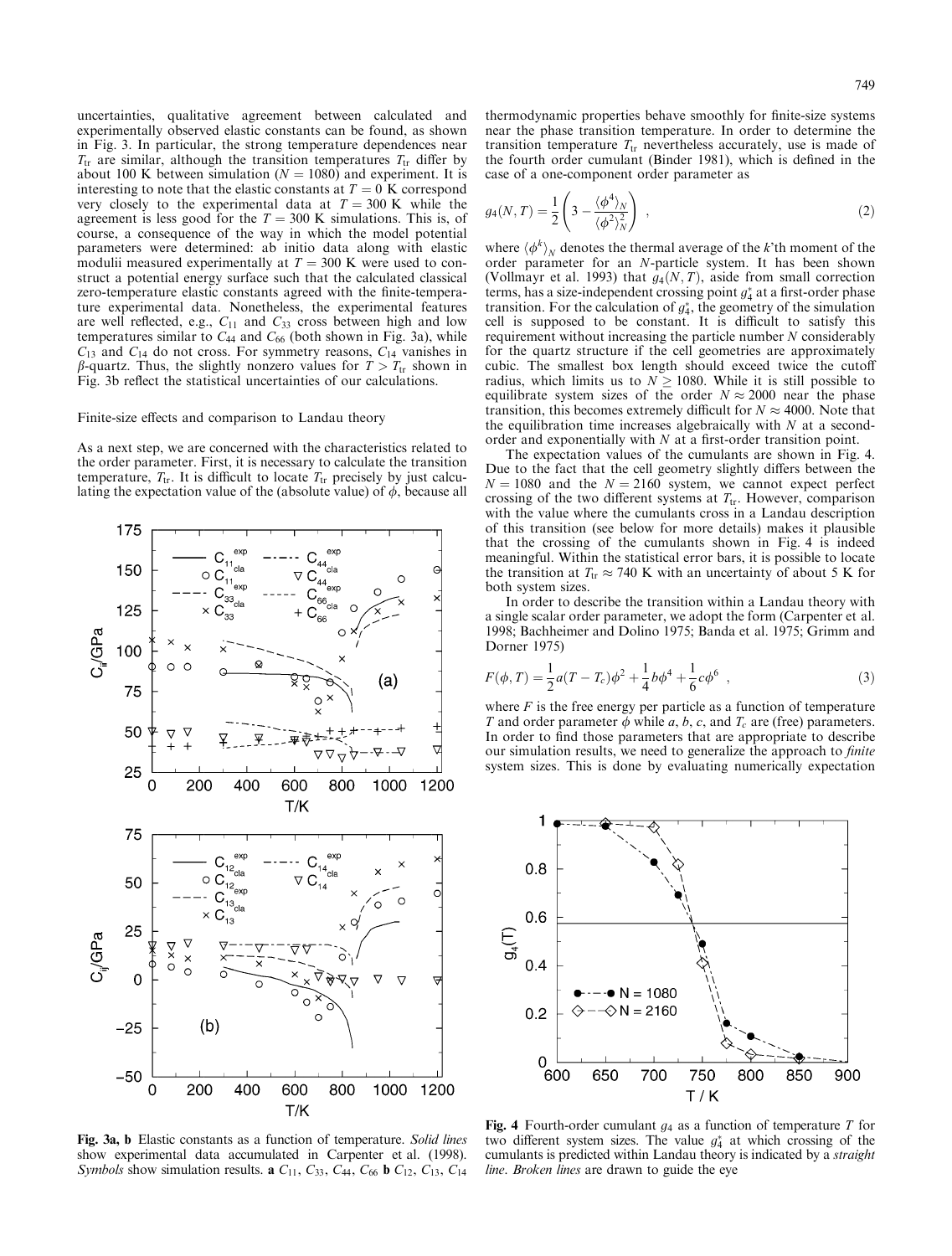uncertainties, qualitative agreement between calculated and experimentally observed elastic constants can be found, as shown in Fig. 3. In particular, the strong temperature dependences near  $T_{tr}$  are similar, although the transition temperatures  $T_{tr}$  differ by about 100 K between simulation ( $N = 1080$ ) and experiment. It is interesting to note that the elastic constants at  $T = 0$  K correspond very closely to the experimental data at  $T = 300$  K while the agreement is less good for the  $T = 300$  K simulations. This is, of course, a consequence of the way in which the model potential parameters were determined: ab initio data along with elastic modulii measured experimentally at  $T = 300$  K were used to construct a potential energy surface such that the calculated classical zero-temperature elastic constants agreed with the finite-temperature experimental data. Nonetheless, the experimental features are well reflected, e.g.,  $C_{11}$  and  $C_{33}$  cross between high and low temperatures similar to  $C_{44}$  and  $C_{66}$  (both shown in Fig. 3a), while  $C_{13}$  and  $C_{14}$  do not cross. For symmetry reasons,  $C_{14}$  vanishes in  $\beta$ -quartz. Thus, the slightly nonzero values for  $T > T_{tr}$  shown in Fig. 3b reflect the statistical uncertainties of our calculations.

#### Finite-size effects and comparison to Landau theory

As a next step, we are concerned with the characteristics related to the order parameter. First, it is necessary to calculate the transition temperature,  $T_{tr}$ . It is difficult to locate  $T_{tr}$  precisely by just calculating the expectation value of the (absolute value) of  $\phi$ , because all



Fig. 3a, b Elastic constants as a function of temperature. Solid lines show experimental data accumulated in Carpenter et al. (1998). *Symbols* show simulation results. **a**  $C_{11}$ ,  $C_{33}$ ,  $C_{44}$ ,  $C_{66}$  **b**  $C_{12}$ ,  $C_{13}$ ,  $C_{14}$ 

thermodynamic properties behave smoothly for finite-size systems near the phase transition temperature. In order to determine the transition temperature  $T_{tr}$  nevertheless accurately, use is made of the fourth order cumulant (Binder 1981), which is defined in the case of a one-component order parameter as

$$
g_4(N,T) = \frac{1}{2} \left( 3 - \frac{\langle \phi^4 \rangle_N}{\langle \phi^2 \rangle_N^2} \right) , \qquad (2)
$$

where  $\langle \phi^k \rangle_N$  denotes the thermal average of the k'th moment of the order parameter for an N-particle system. It has been shown (Vollmayr et al. 1993) that  $g_4(N, T)$ , aside from small correction terms, has a size-independent crossing point  $g_4^*$  at a first-order phase transition. For the calculation of  $g_4^*$ , the geometry of the simulation cell is supposed to be constant. It is difficult to satisfy this requirement without increasing the particle number  $N$  considerably for the quartz structure if the cell geometries are approximately cubic. The smallest box length should exceed twice the cutoff radius, which limits us to  $N > 1080$ . While it is still possible to equilibrate system sizes of the order  $N \approx 2000$  near the phase transition, this becomes extremely difficult for  $N \approx 4000$ . Note that the equilibration time increases algebraically with  $N$  at a secondorder and exponentially with  $N$  at a first-order transition point.

The expectation values of the cumulants are shown in Fig. 4. Due to the fact that the cell geometry slightly differs between the  $N = 1080$  and the  $N = 2160$  system, we cannot expect perfect crossing of the two different systems at  $T_{tr}$ . However, comparison with the value where the cumulants cross in a Landau description of this transition (see below for more details) makes it plausible that the crossing of the cumulants shown in Fig. 4 is indeed meaningful. Within the statistical error bars, it is possible to locate the transition at  $T_{tr} \approx 740$  K with an uncertainty of about 5 K for both system sizes.

In order to describe the transition within a Landau theory with a single scalar order parameter, we adopt the form (Carpenter et al. 1998; Bachheimer and Dolino 1975; Banda et al. 1975; Grimm and Dorner 1975)

$$
F(\phi, T) = \frac{1}{2}a(T - T_c)\phi^2 + \frac{1}{4}b\phi^4 + \frac{1}{6}c\phi^6,
$$
 (3)

where  $F$  is the free energy per particle as a function of temperature T and order parameter  $\phi$  while a, b, c, and  $T_c$  are (free) parameters. In order to find those parameters that are appropriate to describe our simulation results, we need to generalize the approach to *finite* system sizes. This is done by evaluating numerically expectation



Fig. 4 Fourth-order cumulant  $g_4$  as a function of temperature T for two different system sizes. The value  $g_4^*$  at which crossing of the cumulants is predicted within Landau theory is indicated by a *straight* line. Broken lines are drawn to guide the eye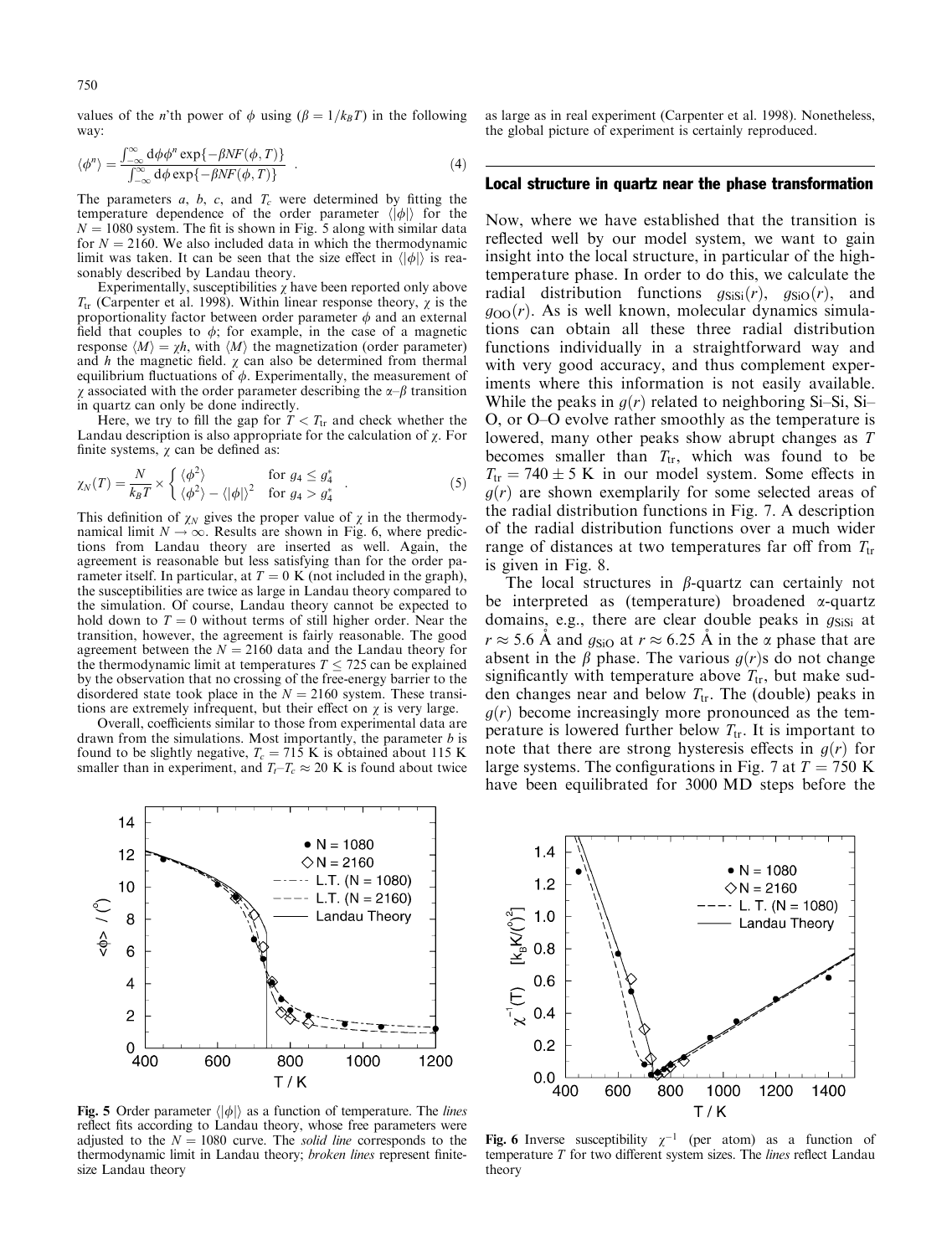values of the *n*'th power of  $\phi$  using  $(\beta = 1/k_B T)$  in the following way:

$$
\langle \phi^n \rangle = \frac{\int_{-\infty}^{\infty} d\phi \phi^n \exp\{-\beta N F(\phi, T)\}}{\int_{-\infty}^{\infty} d\phi \exp\{-\beta N F(\phi, T)\}} \quad . \tag{4}
$$

The parameters  $a, b, c,$  and  $T_c$  were determined by fitting the temperature dependence of the order parameter  $\langle |\phi| \rangle$  for the  $N = 1080$  system. The fit is shown in Fig. 5 along with similar data for  $N = 2160$ . We also included data in which the thermodynamic limit was taken. It can be seen that the size effect in  $\langle |\phi| \rangle$  is reasonably described by Landau theory.

Experimentally, susceptibilities  $\chi$  have been reported only above  $T_{tr}$  (Carpenter et al. 1998). Within linear response theory,  $\chi$  is the proportionality factor between order parameter  $\phi$  and an external field that couples to  $\phi$ ; for example, in the case of a magnetic response  $\langle M \rangle = \chi h$ , with  $\langle M \rangle$  the magnetization (order parameter) and  $h$  the magnetic field.  $\chi$  can also be determined from thermal equilibrium fluctuations of  $\phi$ . Experimentally, the measurement of  $\chi$  associated with the order parameter describing the  $\alpha$ - $\beta$  transition in quartz can only be done indirectly.

Here, we try to fill the gap for  $T < T_{tr}$  and check whether the Landau description is also appropriate for the calculation of  $\chi$ . For finite systems,  $\chi$  can be defined as:

$$
\chi_N(T) = \frac{N}{k_B T} \times \begin{cases} \langle \phi^2 \rangle & \text{for } g_4 \le g_4^* \\ \langle \phi^2 \rangle - \langle |\phi| \rangle^2 & \text{for } g_4 > g_4^* \end{cases} . \tag{5}
$$

This definition of  $\chi_N$  gives the proper value of  $\chi$  in the thermodynamical limit  $N \to \infty$ . Results are shown in Fig. 6, where predictions from Landau theory are inserted as well. Again, the agreement is reasonable but less satisfying than for the order parameter itself. In particular, at  $T = 0$  K (not included in the graph), the susceptibilities are twice as large in Landau theory compared to the simulation. Of course, Landau theory cannot be expected to hold down to  $T = 0$  without terms of still higher order. Near the transition, however, the agreement is fairly reasonable. The good agreement between the  $N = 2160$  data and the Landau theory for the thermodynamic limit at temperatures  $T \le 725$  can be explained by the observation that no crossing of the free-energy barrier to the disordered state took place in the  $N = 2160$  system. These transitions are extremely infrequent, but their effect on  $\chi$  is very large.

Overall, coefficients similar to those from experimental data are drawn from the simulations. Most importantly, the parameter  $b$  is found to be slightly negative,  $T_c = 715$  K is obtained about 115 K smaller than in experiment, and  $T_t - T_c \approx 20$  K is found about twice



Fig. 5 Order parameter  $\langle |\phi| \rangle$  as a function of temperature. The *lines* reflect fits according to Landau theory, whose free parameters were adjusted to the  $N = 1080$  curve. The *solid line* corresponds to the thermodynamic limit in Landau theory; broken lines represent finitesize Landau theory

as large as in real experiment (Carpenter et al. 1998). Nonetheless, the global picture of experiment is certainly reproduced.

### Local structure in quartz near the phase transformation

Now, where we have established that the transition is reflected well by our model system, we want to gain insight into the local structure, in particular of the hightemperature phase. In order to do this, we calculate the radial distribution functions  $g_{\text{SiSi}}(r)$ ,  $g_{\text{SiO}}(r)$ , and  $g_{OO}(r)$ . As is well known, molecular dynamics simulations can obtain all these three radial distribution functions individually in a straightforward way and with very good accuracy, and thus complement experiments where this information is not easily available. While the peaks in  $g(r)$  related to neighboring Si-Si, Si-O, or O–O evolve rather smoothly as the temperature is lowered, many other peaks show abrupt changes as T becomes smaller than  $T_{tr}$ , which was found to be  $T_{tr} = 740 \pm 5$  K in our model system. Some effects in  $g(r)$  are shown exemplarily for some selected areas of the radial distribution functions in Fig. 7. A description of the radial distribution functions over a much wider range of distances at two temperatures far off from  $T_{tr}$ is given in Fig. 8.

The local structures in  $\beta$ -quartz can certainly not be interpreted as (temperature) broadened  $\alpha$ -quartz domains, e.g., there are clear double peaks in  $g_{\text{SiSi}}$  at  $r \approx 5.6$  Å and  $g_{\rm SiO}$  at  $r \approx 6.25$  Å in the  $\alpha$  phase that are absent in the  $\beta$  phase. The various  $g(r)$ s do not change significantly with temperature above  $T_{tr}$ , but make sudden changes near and below  $T_{tr}$ . The (double) peaks in  $g(r)$  become increasingly more pronounced as the temperature is lowered further below  $T_{tr}$ . It is important to note that there are strong hysteresis effects in  $g(r)$  for large systems. The configurations in Fig. 7 at  $T = 750$  K have been equilibrated for 3000 MD steps before the



Fig. 6 Inverse susceptibility  $\chi^{-1}$  (per atom) as a function of temperature  $T$  for two different system sizes. The *lines* reflect Landau theory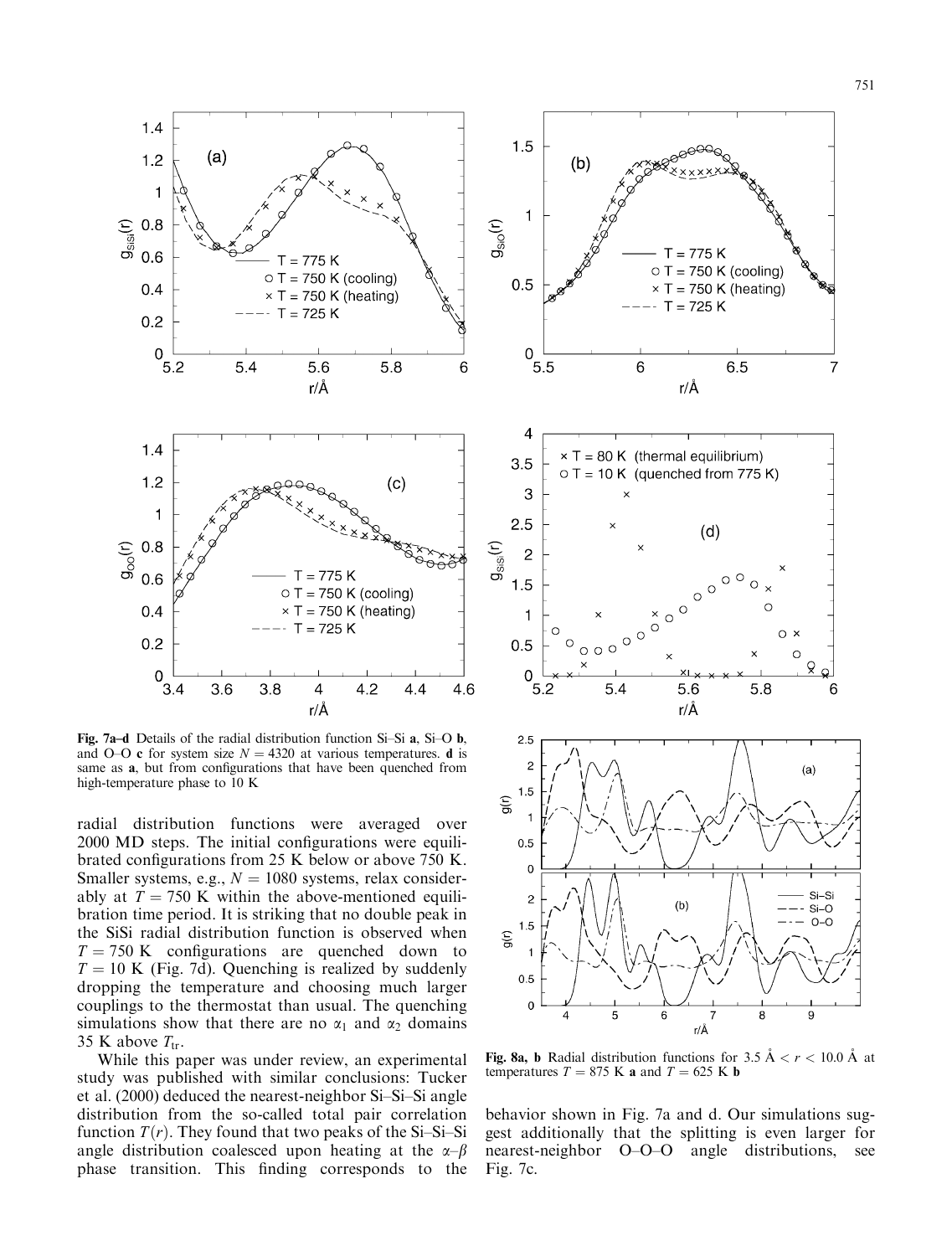

Fig. 7a-d Details of the radial distribution function Si-Si a, Si-O b, and O–O c for system size  $N = 4320$  at various temperatures. d is same as **a**, but from configurations that have been quenched from high-temperature phase to 10 K

radial distribution functions were averaged over 2000 MD steps. The initial configurations were equilibrated configurations from 25 K below or above 750 K. Smaller systems, e.g.,  $N = 1080$  systems, relax considerably at  $T = 750$  K within the above-mentioned equilibration time period. It is striking that no double peak in the SiSi radial distribution function is observed when  $T = 750$  K configurations are quenched down to  $T = 10$  K (Fig. 7d). Quenching is realized by suddenly dropping the temperature and choosing much larger couplings to the thermostat than usual. The quenching simulations show that there are no  $\alpha_1$  and  $\alpha_2$  domains 35 K above  $T_{tr}$ .

While this paper was under review, an experimental study was published with similar conclusions: Tucker et al.  $(2000)$  deduced the nearest-neighbor Si-Si-Si angle distribution from the so-called total pair correlation function  $T(r)$ . They found that two peaks of the Si-Si-Si angle distribution coalesced upon heating at the  $\alpha-\beta$ phase transition. This finding corresponds to the



Fig. 8a, b Radial distribution functions for 3.5  $A < r < 10.0$  Å at temperatures  $T = 875$  K a and  $T = 625$  K b

behavior shown in Fig. 7a and d. Our simulations suggest additionally that the splitting is even larger for nearest-neighbor O-O-O angle distributions, see Fig. 7c.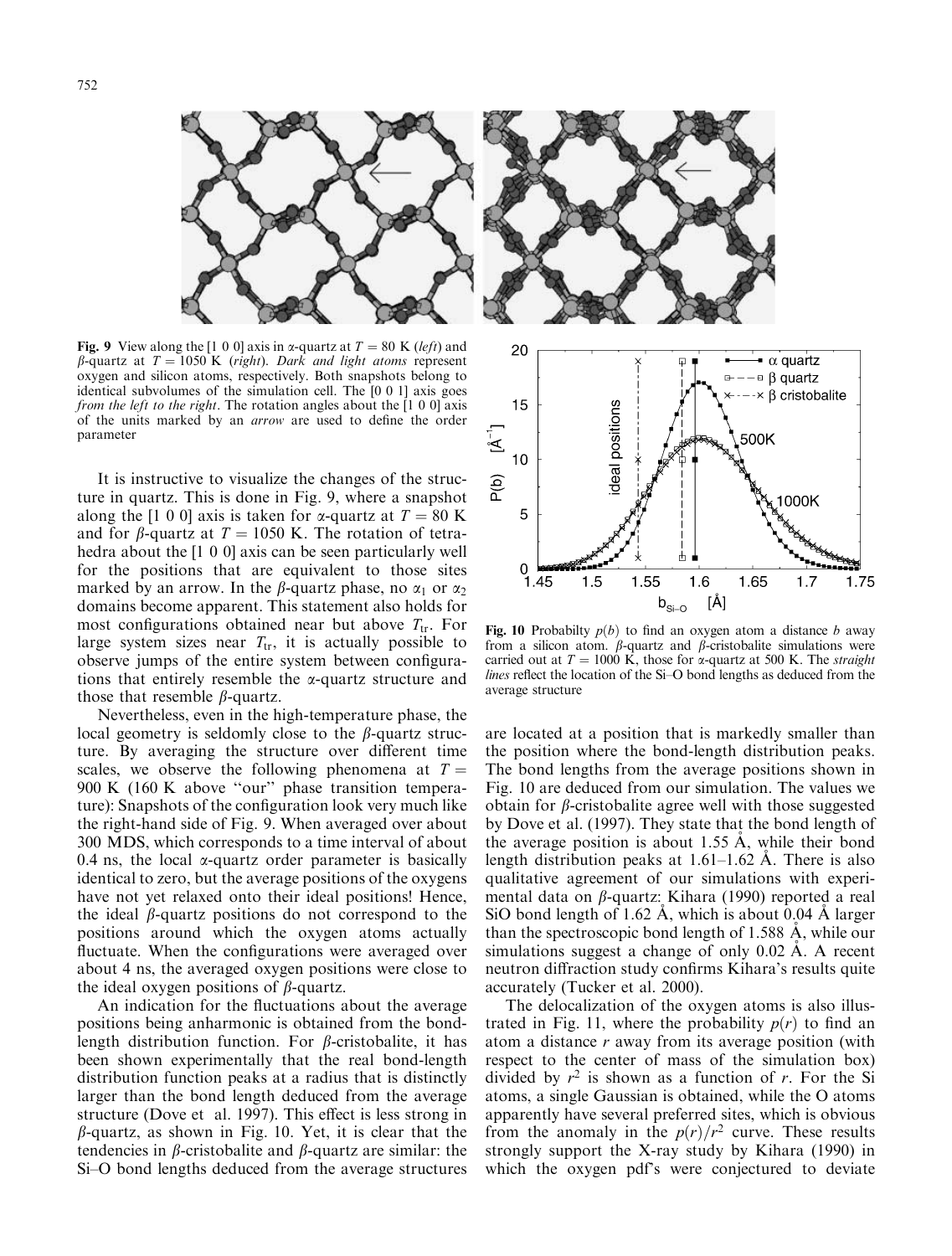

Fig. 9 View along the [1 0 0] axis in  $\alpha$ -quartz at  $T = 80$  K (left) and  $\beta$ -quartz at  $T = 1050$  K (right). Dark and light atoms represent oxygen and silicon atoms, respectively. Both snapshots belong to identical subvolumes of the simulation cell. The [0 0 1] axis goes *from the left to the right.* The rotation angles about the  $[1\ 0\ 0]$  axis of the units marked by an *arrow* are used to define the order parameter

It is instructive to visualize the changes of the structure in quartz. This is done in Fig. 9, where a snapshot along the [1 0 0] axis is taken for  $\alpha$ -quartz at  $T = 80$  K and for  $\beta$ -quartz at  $T = 1050$  K. The rotation of tetrahedra about the [1 0 0] axis can be seen particularly well for the positions that are equivalent to those sites marked by an arrow. In the  $\beta$ -quartz phase, no  $\alpha_1$  or  $\alpha_2$ domains become apparent. This statement also holds for most configurations obtained near but above  $T_{tr}$ . For large system sizes near  $T_{tr}$ , it is actually possible to observe jumps of the entire system between configurations that entirely resemble the  $\alpha$ -quartz structure and those that resemble  $\beta$ -quartz.

Nevertheless, even in the high-temperature phase, the local geometry is seldomly close to the  $\beta$ -quartz structure. By averaging the structure over different time scales, we observe the following phenomena at  $T =$ 900 K (160 K above "our" phase transition temperature): Snapshots of the configuration look very much like the right-hand side of Fig. 9. When averaged over about 300 MDS, which corresponds to a time interval of about 0.4 ns, the local  $\alpha$ -quartz order parameter is basically identical to zero, but the average positions of the oxygens have not yet relaxed onto their ideal positions! Hence, the ideal  $\beta$ -quartz positions do not correspond to the positions around which the oxygen atoms actually fluctuate. When the configurations were averaged over about 4 ns, the averaged oxygen positions were close to the ideal oxygen positions of  $\beta$ -quartz.

An indication for the fluctuations about the average positions being anharmonic is obtained from the bondlength distribution function. For  $\beta$ -cristobalite, it has been shown experimentally that the real bond-length distribution function peaks at a radius that is distinctly larger than the bond length deduced from the average structure (Dove et al. 1997). This effect is less strong in  $\beta$ -quartz, as shown in Fig. 10. Yet, it is clear that the tendencies in  $\beta$ -cristobalite and  $\beta$ -quartz are similar: the Si-O bond lengths deduced from the average structures



Fig. 10 Probabilty  $p(b)$  to find an oxygen atom a distance b away from a silicon atom.  $\beta$ -quartz and  $\beta$ -cristobalite simulations were carried out at  $T = 1000$  K, those for  $\alpha$ -quartz at 500 K. The *straight* lines reflect the location of the Si-O bond lengths as deduced from the average structure

are located at a position that is markedly smaller than the position where the bond-length distribution peaks. The bond lengths from the average positions shown in Fig. 10 are deduced from our simulation. The values we obtain for  $\beta$ -cristobalite agree well with those suggested by Dove et al. (1997). They state that the bond length of the average position is about 1.55 A, while their bond length distribution peaks at  $1.61-1.62$  Å. There is also qualitative agreement of our simulations with experimental data on  $\beta$ -quartz: Kihara (1990) reported a real SiO bond length of 1.62 A, which is about 0.04 A larger than the spectroscopic bond length of 1.588 A, while our simulations suggest a change of only  $0.02 \text{ Å}$ . A recent neutron diffraction study confirms Kihara's results quite accurately (Tucker et al. 2000).

The delocalization of the oxygen atoms is also illustrated in Fig. 11, where the probability  $p(r)$  to find an atom a distance  $r$  away from its average position (with respect to the center of mass of the simulation box) divided by  $r^2$  is shown as a function of r. For the Si atoms, a single Gaussian is obtained, while the O atoms apparently have several preferred sites, which is obvious from the anomaly in the  $p(r)/r^2$  curve. These results strongly support the X-ray study by Kihara (1990) in which the oxygen pdf's were conjectured to deviate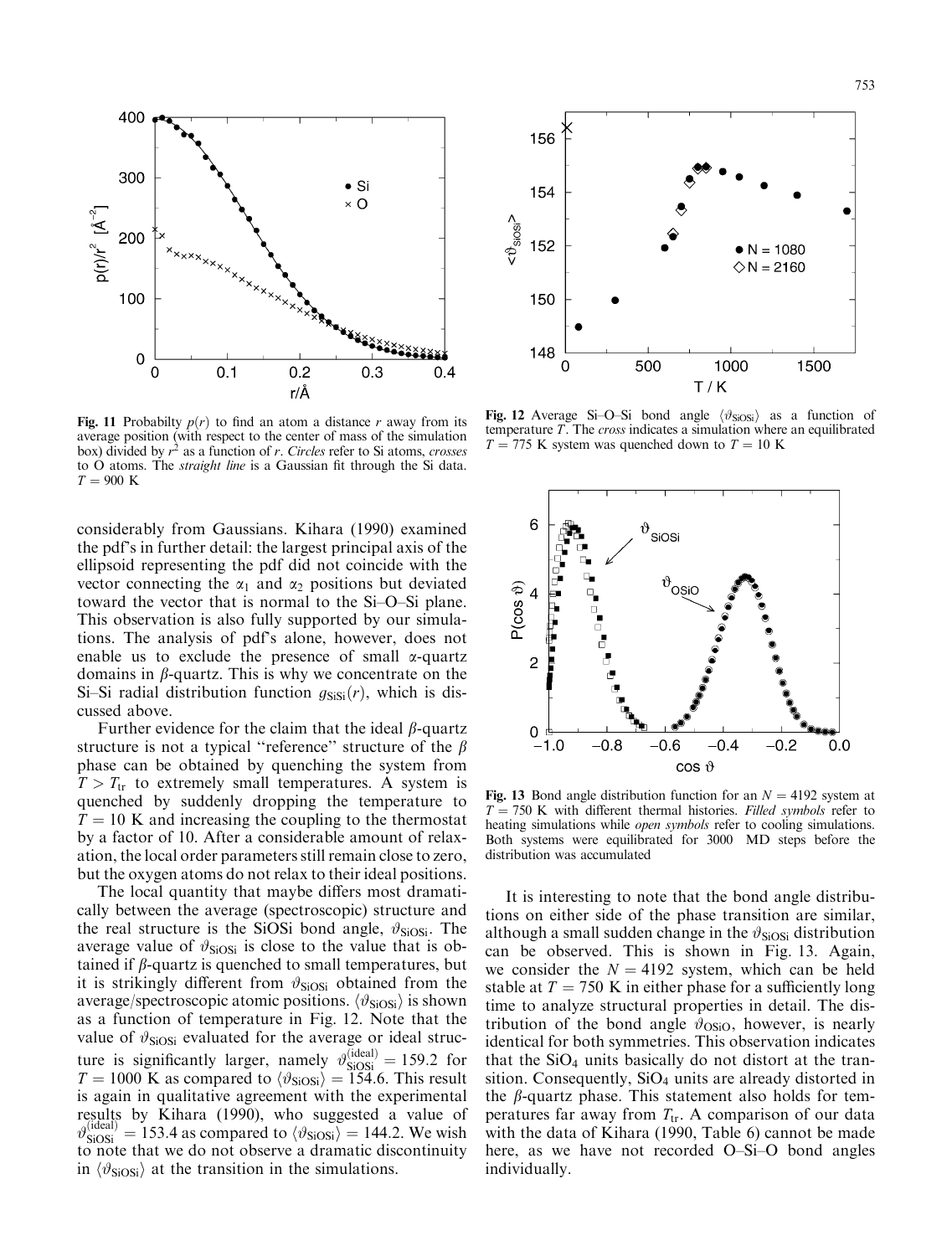

Fig. 11 Probabilty  $p(r)$  to find an atom a distance r away from its average position (with respect to the center of mass of the simulation box) divided by  $r^2$  as a function of r. Circles refer to Si atoms, crosses to O atoms. The *straight line* is a Gaussian fit through the Si data.  $T = 900$  K

considerably from Gaussians. Kihara (1990) examined the pdf's in further detail: the largest principal axis of the ellipsoid representing the pdf did not coincide with the vector connecting the  $\alpha_1$  and  $\alpha_2$  positions but deviated toward the vector that is normal to the Si-O-Si plane. This observation is also fully supported by our simulations. The analysis of pdf's alone, however, does not enable us to exclude the presence of small  $\alpha$ -quartz domains in  $\beta$ -quartz. This is why we concentrate on the Si-Si radial distribution function  $g_{\text{SiSi}}(r)$ , which is discussed above.

Further evidence for the claim that the ideal  $\beta$ -quartz structure is not a typical "reference" structure of the  $\beta$ phase can be obtained by quenching the system from  $T > T_{tr}$  to extremely small temperatures. A system is quenched by suddenly dropping the temperature to  $T = 10$  K and increasing the coupling to the thermostat by a factor of 10. After a considerable amount of relaxation, the local order parameters still remain close to zero, but the oxygen atoms do not relax to their ideal positions.

The local quantity that maybe differs most dramatically between the average (spectroscopic) structure and the real structure is the SiOSi bond angle,  $\vartheta_{\text{SiOSi}}$ . The average value of  $\vartheta_{\text{SiOSi}}$  is close to the value that is obtained if  $\beta$ -quartz is quenched to small temperatures, but it is strikingly different from  $\vartheta_{\text{SiOSi}}$  obtained from the average/spectroscopic atomic positions.  $\langle \vartheta_{\text{SiOSi}} \rangle$  is shown as a function of temperature in Fig. 12. Note that the value of  $\vartheta_{\text{SiOSi}}$  evaluated for the average or ideal structure is significantly larger, namely  $\vartheta_{\text{SiOSi}}^{(\text{ideal})} = 159.2$  for  $T = 1000$  K as compared to  $\langle \vartheta_{\text{SiOSi}} \rangle = \tilde{1}5\tilde{4}.6$ . This result is again in qualitative agreement with the experimental results by Kihara (1990), who suggested a value of  $\vartheta_{\text{SiOSi}}^{(\text{ideal})} = 153.4$  as compared to  $\langle \vartheta_{\text{SiOSi}} \rangle = 144.2$ . We wish to note that we do not observe a dramatic discontinuity in  $\langle \vartheta_{\text{SiOSi}} \rangle$  at the transition in the simulations.



Fig. 12 Average Si-O-Si bond angle  $\langle \vartheta_{\text{SiOSi}} \rangle$  as a function of temperature  $T$ . The *cross* indicates a simulation where an equilibrated  $T = 775$  K system was quenched down to  $T = 10$  K



Fig. 13 Bond angle distribution function for an  $N = 4192$  system at  $T = 750$  K with different thermal histories. Filled symbols refer to heating simulations while *open symbols* refer to cooling simulations. Both systems were equilibrated for 3000 MD steps before the distribution was accumulated

It is interesting to note that the bond angle distributions on either side of the phase transition are similar, although a small sudden change in the  $\vartheta_{\text{SiOSi}}$  distribution can be observed. This is shown in Fig. 13. Again, we consider the  $N = 4192$  system, which can be held stable at  $T = 750$  K in either phase for a sufficiently long time to analyze structural properties in detail. The distribution of the bond angle  $\vartheta_{OSiO}$ , however, is nearly identical for both symmetries. This observation indicates that the  $SiO<sub>4</sub>$  units basically do not distort at the transition. Consequently,  $SiO<sub>4</sub>$  units are already distorted in the  $\beta$ -quartz phase. This statement also holds for temperatures far away from  $T_{tr}$ . A comparison of our data with the data of Kihara (1990, Table 6) cannot be made here, as we have not recorded O-Si-O bond angles individually.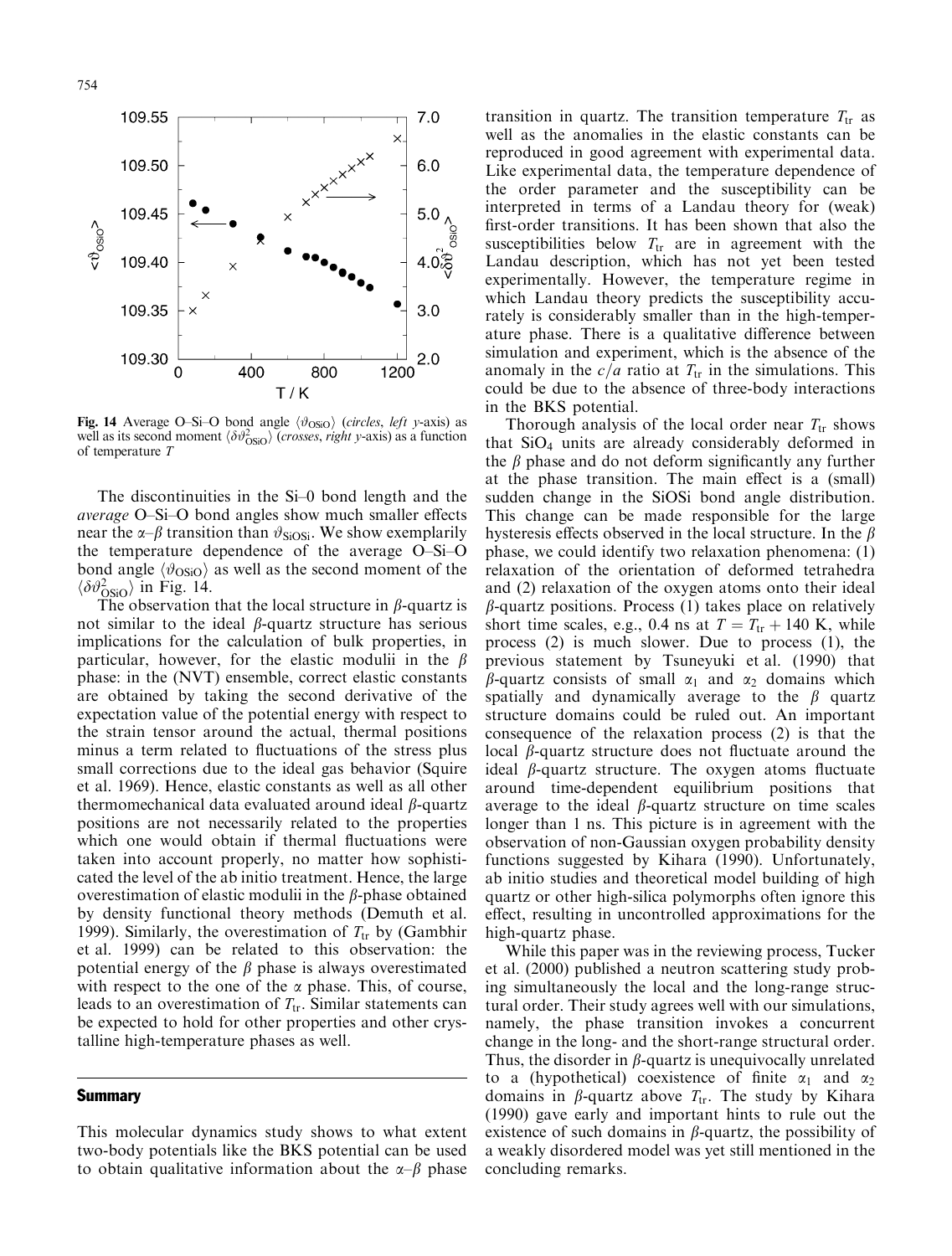

**Fig. 14** Average O-Si-O bond angle  $\langle \vartheta_{OSiO} \rangle$  (circles, left y-axis) as well as its second moment  $\langle \delta \vartheta_{OSO}^2 \rangle$  (*crosses, right y*-axis) as a function of temperature T

The discontinuities in the  $Si-0$  bond length and the *average* O–Si–O bond angles show much smaller effects near the  $\alpha$ - $\beta$  transition than  $\vartheta_{\text{SiOSi}}$ . We show exemplarily the temperature dependence of the average O-Si-O bond angle  $\langle \vartheta_{OSiO} \rangle$  as well as the second moment of the  $\langle \delta \vartheta_{OSiO}^2 \rangle$  in Fig. 14.

The observation that the local structure in  $\beta$ -quartz is not similar to the ideal  $\beta$ -quartz structure has serious implications for the calculation of bulk properties, in particular, however, for the elastic modulii in the  $\beta$ phase: in the (NVT) ensemble, correct elastic constants are obtained by taking the second derivative of the expectation value of the potential energy with respect to the strain tensor around the actual, thermal positions minus a term related to fluctuations of the stress plus small corrections due to the ideal gas behavior (Squire et al. 1969). Hence, elastic constants as well as all other thermomechanical data evaluated around ideal  $\beta$ -quartz positions are not necessarily related to the properties which one would obtain if thermal fluctuations were taken into account properly, no matter how sophisticated the level of the ab initio treatment. Hence, the large overestimation of elastic modulii in the  $\beta$ -phase obtained by density functional theory methods (Demuth et al. 1999). Similarly, the overestimation of  $T_{tr}$  by (Gambhir et al. 1999) can be related to this observation: the potential energy of the  $\beta$  phase is always overestimated with respect to the one of the  $\alpha$  phase. This, of course, leads to an overestimation of  $T_{tr}$ . Similar statements can be expected to hold for other properties and other crystalline high-temperature phases as well.

#### **Summary**

This molecular dynamics study shows to what extent two-body potentials like the BKS potential can be used to obtain qualitative information about the  $\alpha-\beta$  phase transition in quartz. The transition temperature  $T_{tr}$  as well as the anomalies in the elastic constants can be reproduced in good agreement with experimental data. Like experimental data, the temperature dependence of the order parameter and the susceptibility can be interpreted in terms of a Landau theory for (weak) first-order transitions. It has been shown that also the susceptibilities below  $T_{tr}$  are in agreement with the Landau description, which has not yet been tested experimentally. However, the temperature regime in which Landau theory predicts the susceptibility accurately is considerably smaller than in the high-temperature phase. There is a qualitative difference between simulation and experiment, which is the absence of the anomaly in the  $c/a$  ratio at  $T_{tr}$  in the simulations. This could be due to the absence of three-body interactions in the BKS potential.

Thorough analysis of the local order near  $T_{tr}$  shows that  $SiO<sub>4</sub>$  units are already considerably deformed in the  $\beta$  phase and do not deform significantly any further at the phase transition. The main effect is a (small) sudden change in the SiOSi bond angle distribution. This change can be made responsible for the large hysteresis effects observed in the local structure. In the  $\beta$ phase, we could identify two relaxation phenomena: (1) relaxation of the orientation of deformed tetrahedra and (2) relaxation of the oxygen atoms onto their ideal  $\beta$ -quartz positions. Process (1) takes place on relatively short time scales, e.g., 0.4 ns at  $T = T_{tr} + 140$  K, while process (2) is much slower. Due to process (1), the previous statement by Tsuneyuki et al. (1990) that  $\beta$ -quartz consists of small  $\alpha_1$  and  $\alpha_2$  domains which spatially and dynamically average to the  $\beta$  quartz structure domains could be ruled out. An important consequence of the relaxation process (2) is that the local  $\beta$ -quartz structure does not fluctuate around the ideal  $\beta$ -quartz structure. The oxygen atoms fluctuate around time-dependent equilibrium positions that average to the ideal  $\beta$ -quartz structure on time scales longer than 1 ns. This picture is in agreement with the observation of non-Gaussian oxygen probability density functions suggested by Kihara (1990). Unfortunately, ab initio studies and theoretical model building of high quartz or other high-silica polymorphs often ignore this effect, resulting in uncontrolled approximations for the high-quartz phase.

While this paper was in the reviewing process, Tucker et al. (2000) published a neutron scattering study probing simultaneously the local and the long-range structural order. Their study agrees well with our simulations, namely, the phase transition invokes a concurrent change in the long- and the short-range structural order. Thus, the disorder in  $\beta$ -quartz is unequivocally unrelated to a (hypothetical) coexistence of finite  $\alpha_1$  and  $\alpha_2$ domains in  $\beta$ -quartz above  $T_{tr}$ . The study by Kihara (1990) gave early and important hints to rule out the existence of such domains in  $\beta$ -quartz, the possibility of a weakly disordered model was yet still mentioned in the concluding remarks.